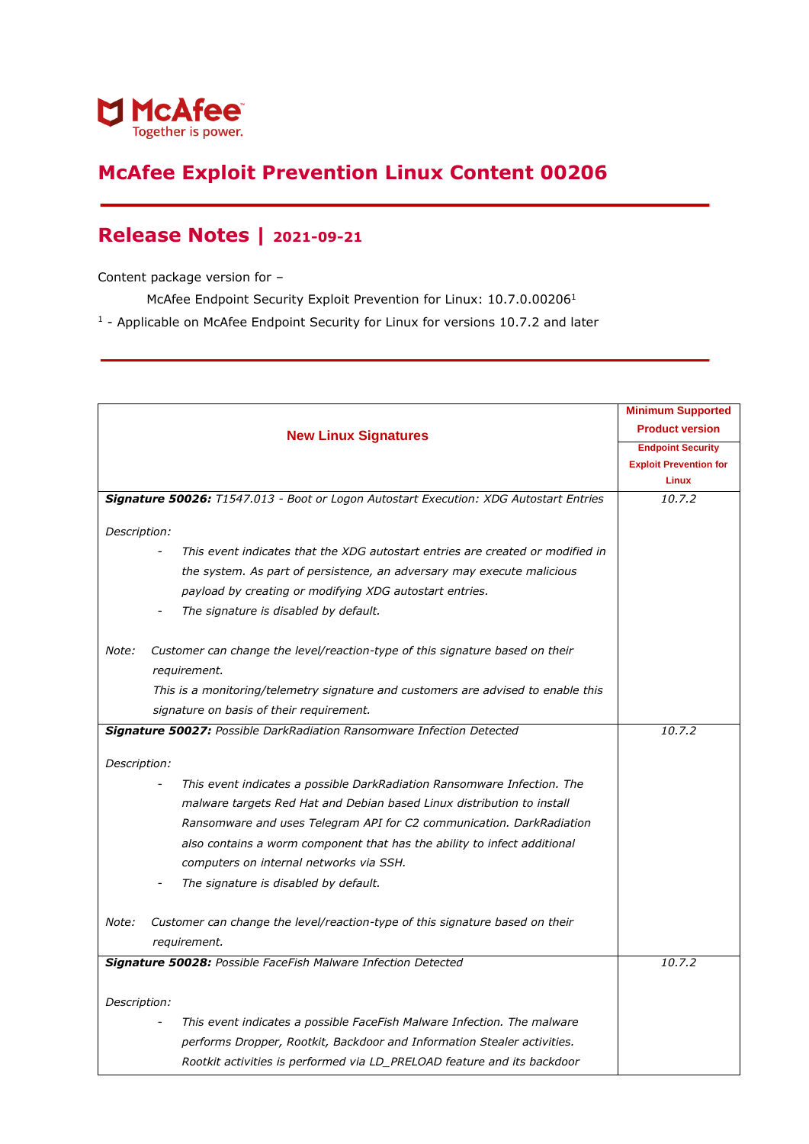

## **McAfee Exploit Prevention Linux Content 00206**

## **Release Notes | 2021-09-21**

Content package version for –

McAfee Endpoint Security Exploit Prevention for Linux: 10.7.0.00206<sup>1</sup>

<sup>1</sup> - Applicable on McAfee Endpoint Security for Linux for versions 10.7.2 and later

|              |                                                                                       | <b>Minimum Supported</b><br><b>Product version</b> |
|--------------|---------------------------------------------------------------------------------------|----------------------------------------------------|
|              | <b>New Linux Signatures</b>                                                           |                                                    |
|              |                                                                                       | <b>Endpoint Security</b>                           |
|              |                                                                                       | <b>Exploit Prevention for</b><br><b>Linux</b>      |
|              |                                                                                       |                                                    |
|              | Signature 50026: T1547.013 - Boot or Logon Autostart Execution: XDG Autostart Entries | 10.7.2                                             |
| Description: |                                                                                       |                                                    |
|              | This event indicates that the XDG autostart entries are created or modified in        |                                                    |
|              | the system. As part of persistence, an adversary may execute malicious                |                                                    |
|              | payload by creating or modifying XDG autostart entries.                               |                                                    |
|              | The signature is disabled by default.                                                 |                                                    |
| Note:        | Customer can change the level/reaction-type of this signature based on their          |                                                    |
|              | requirement.                                                                          |                                                    |
|              | This is a monitoring/telemetry signature and customers are advised to enable this     |                                                    |
|              | signature on basis of their requirement.                                              |                                                    |
|              | Signature 50027: Possible DarkRadiation Ransomware Infection Detected                 | 10.7.2                                             |
| Description: |                                                                                       |                                                    |
|              | This event indicates a possible DarkRadiation Ransomware Infection. The               |                                                    |
|              | malware targets Red Hat and Debian based Linux distribution to install                |                                                    |
|              | Ransomware and uses Telegram API for C2 communication. DarkRadiation                  |                                                    |
|              | also contains a worm component that has the ability to infect additional              |                                                    |
|              | computers on internal networks via SSH.                                               |                                                    |
|              | The signature is disabled by default.                                                 |                                                    |
| Note:        | Customer can change the level/reaction-type of this signature based on their          |                                                    |
|              | requirement.                                                                          |                                                    |
|              | Signature 50028: Possible FaceFish Malware Infection Detected                         | 10.7.2                                             |
|              |                                                                                       |                                                    |
| Description: |                                                                                       |                                                    |
|              | This event indicates a possible FaceFish Malware Infection. The malware               |                                                    |
|              | performs Dropper, Rootkit, Backdoor and Information Stealer activities.               |                                                    |
|              | Rootkit activities is performed via LD_PRELOAD feature and its backdoor               |                                                    |